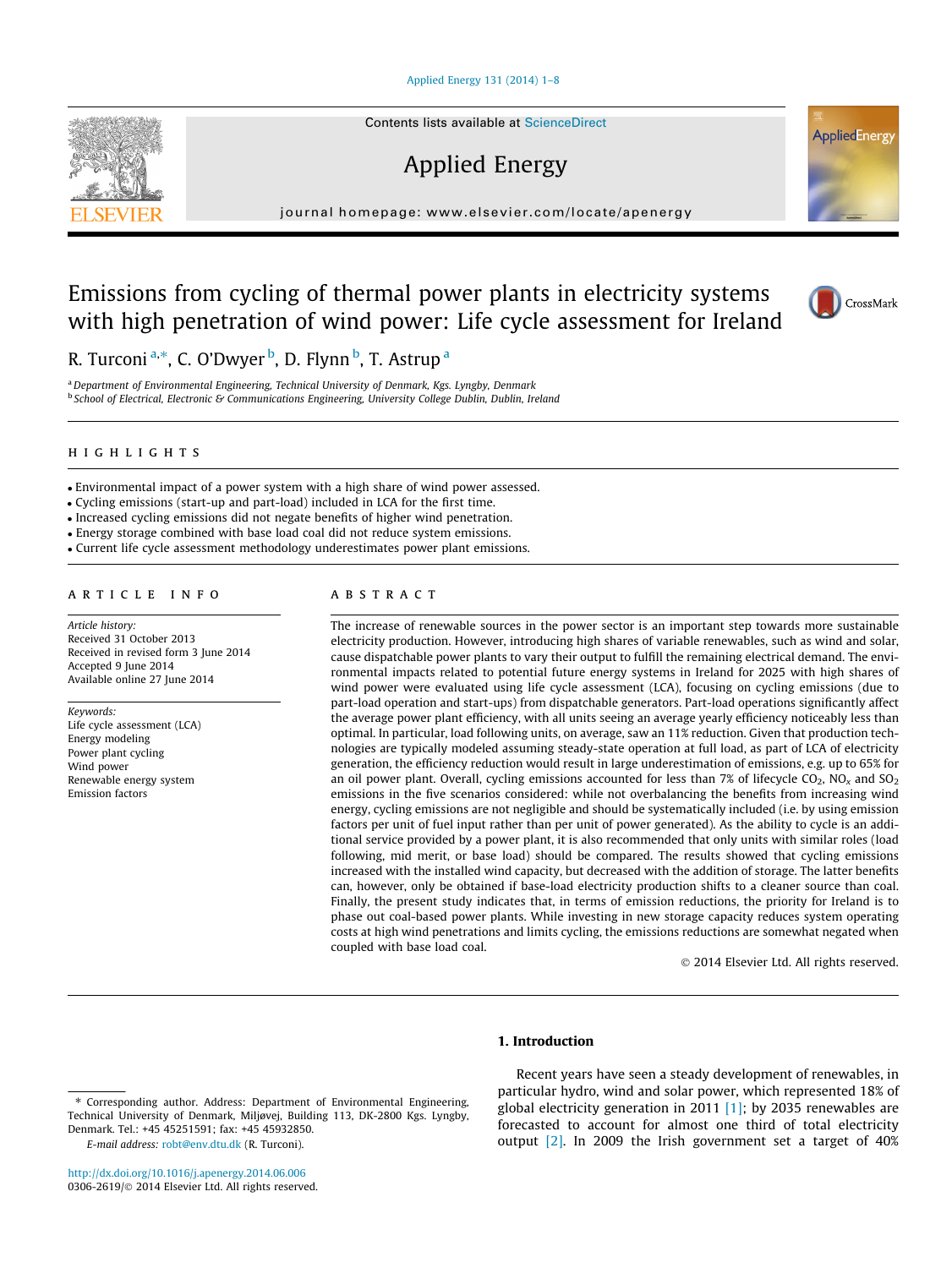#### [Applied Energy 131 \(2014\) 1–8](http://dx.doi.org/10.1016/j.apenergy.2014.06.006)



Contents lists available at [ScienceDirect](http://www.sciencedirect.com/science/journal/03062619)

## Applied Energy

journal homepage: [www.elsevier.com/locate/apenergy](http://www.elsevier.com/locate/apenergy)

### Emissions from cycling of thermal power plants in electricity systems with high penetration of wind power: Life cycle assessment for Ireland



AppliedEnergy



R. Turconi <sup>a,</sup>\*, C. O'Dwyer <sup>b</sup>, D. Flynn <sup>b</sup>, T. Astrup <sup>a</sup>

a Department of Environmental Engineering, Technical University of Denmark, Kgs. Lyngby, Denmark <sup>b</sup> School of Electrical, Electronic & Communications Engineering, University College Dublin, Dublin, Ireland



#### highlights

- Environmental impact of a power system with a high share of wind power assessed.

- Cycling emissions (start-up and part-load) included in LCA for the first time.

- Increased cycling emissions did not negate benefits of higher wind penetration.

- Energy storage combined with base load coal did not reduce system emissions.

- Current life cycle assessment methodology underestimates power plant emissions.

#### article info

Article history: Received 31 October 2013 Received in revised form 3 June 2014 Accepted 9 June 2014 Available online 27 June 2014

Keywords: Life cycle assessment (LCA) Energy modeling Power plant cycling Wind power Renewable energy system Emission factors

### ABSTRACT

The increase of renewable sources in the power sector is an important step towards more sustainable electricity production. However, introducing high shares of variable renewables, such as wind and solar, cause dispatchable power plants to vary their output to fulfill the remaining electrical demand. The environmental impacts related to potential future energy systems in Ireland for 2025 with high shares of wind power were evaluated using life cycle assessment (LCA), focusing on cycling emissions (due to part-load operation and start-ups) from dispatchable generators. Part-load operations significantly affect the average power plant efficiency, with all units seeing an average yearly efficiency noticeably less than optimal. In particular, load following units, on average, saw an 11% reduction. Given that production technologies are typically modeled assuming steady-state operation at full load, as part of LCA of electricity generation, the efficiency reduction would result in large underestimation of emissions, e.g. up to 65% for an oil power plant. Overall, cycling emissions accounted for less than 7% of lifecycle  $CO_2$ , NO<sub>x</sub> and SO<sub>2</sub> emissions in the five scenarios considered: while not overbalancing the benefits from increasing wind energy, cycling emissions are not negligible and should be systematically included (i.e. by using emission factors per unit of fuel input rather than per unit of power generated). As the ability to cycle is an additional service provided by a power plant, it is also recommended that only units with similar roles (load following, mid merit, or base load) should be compared. The results showed that cycling emissions increased with the installed wind capacity, but decreased with the addition of storage. The latter benefits can, however, only be obtained if base-load electricity production shifts to a cleaner source than coal. Finally, the present study indicates that, in terms of emission reductions, the priority for Ireland is to phase out coal-based power plants. While investing in new storage capacity reduces system operating costs at high wind penetrations and limits cycling, the emissions reductions are somewhat negated when coupled with base load coal.

- 2014 Elsevier Ltd. All rights reserved.

#### 1. Introduction

E-mail address: [robt@env.dtu.dk](mailto:robt@env.dtu.dk) (R. Turconi).

Recent years have seen a steady development of renewables, in particular hydro, wind and solar power, which represented 18% of global electricity generation in 2011 [\[1\];](#page--1-0) by 2035 renewables are forecasted to account for almost one third of total electricity output [\[2\]](#page--1-0). In 2009 the Irish government set a target of 40%

 $*$  Corresponding author. Address: Department of Environmental Engineering, Technical University of Denmark, Miljøvej, Building 113, DK-2800 Kgs. Lyngby, Denmark. Tel.: +45 45251591; fax: +45 45932850.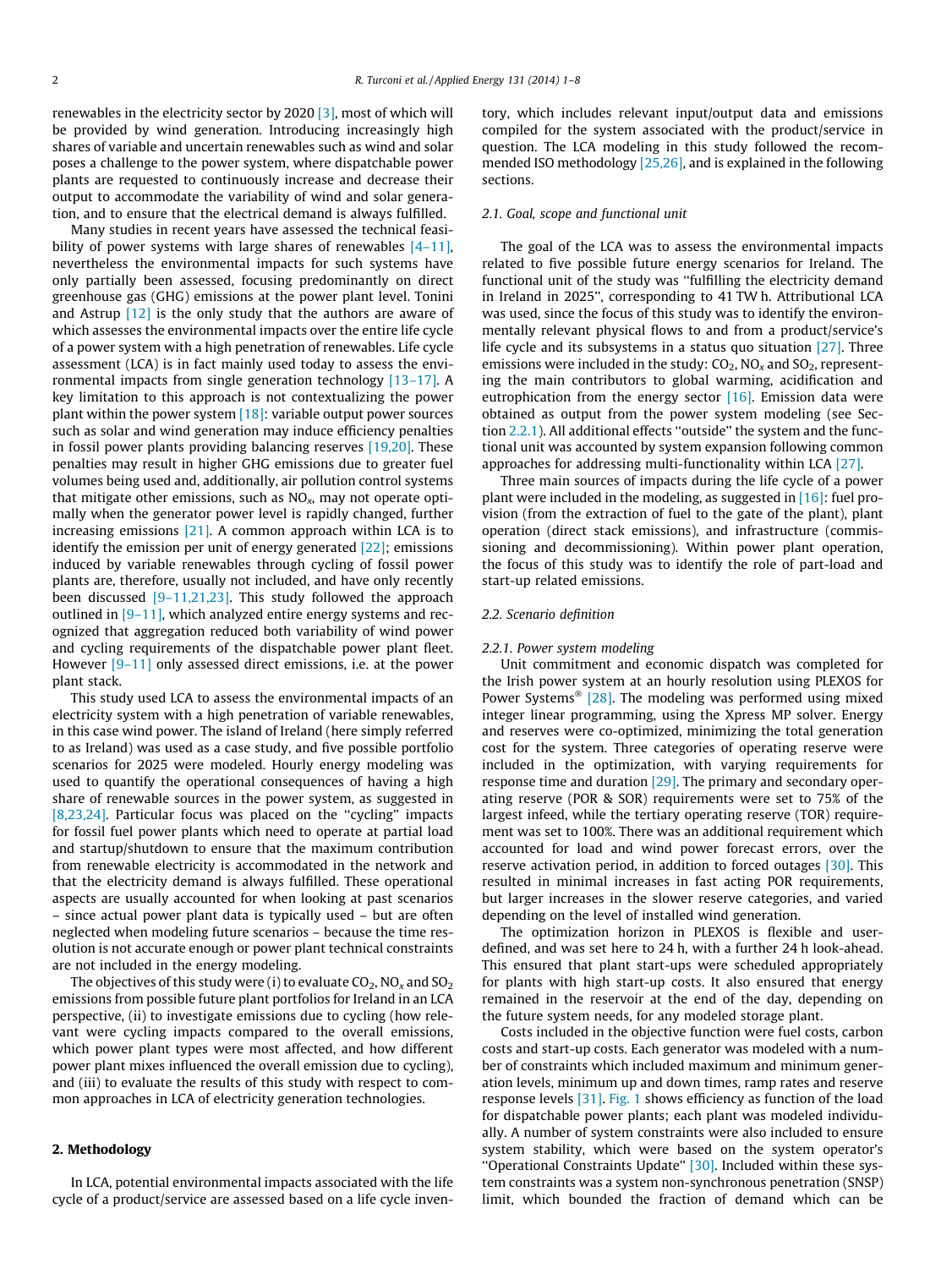renewables in the electricity sector by 2020 [\[3\],](#page--1-0) most of which will be provided by wind generation. Introducing increasingly high shares of variable and uncertain renewables such as wind and solar poses a challenge to the power system, where dispatchable power plants are requested to continuously increase and decrease their output to accommodate the variability of wind and solar generation, and to ensure that the electrical demand is always fulfilled.

Many studies in recent years have assessed the technical feasibility of power systems with large shares of renewables  $[4-11]$ , nevertheless the environmental impacts for such systems have only partially been assessed, focusing predominantly on direct greenhouse gas (GHG) emissions at the power plant level. Tonini and Astrup  $[12]$  is the only study that the authors are aware of which assesses the environmental impacts over the entire life cycle of a power system with a high penetration of renewables. Life cycle assessment (LCA) is in fact mainly used today to assess the environmental impacts from single generation technology [\[13–17\]](#page--1-0). A key limitation to this approach is not contextualizing the power plant within the power system  $[18]$ : variable output power sources such as solar and wind generation may induce efficiency penalties in fossil power plants providing balancing reserves [\[19,20\]](#page--1-0). These penalties may result in higher GHG emissions due to greater fuel volumes being used and, additionally, air pollution control systems that mitigate other emissions, such as  $NO<sub>x</sub>$ , may not operate optimally when the generator power level is rapidly changed, further increasing emissions  $[21]$ . A common approach within LCA is to identify the emission per unit of energy generated [\[22\]](#page--1-0); emissions induced by variable renewables through cycling of fossil power plants are, therefore, usually not included, and have only recently been discussed [\[9–11,21,23\].](#page--1-0) This study followed the approach outlined in  $[9-11]$ , which analyzed entire energy systems and recognized that aggregation reduced both variability of wind power and cycling requirements of the dispatchable power plant fleet. However [\[9–11\]](#page--1-0) only assessed direct emissions, i.e. at the power plant stack.

This study used LCA to assess the environmental impacts of an electricity system with a high penetration of variable renewables, in this case wind power. The island of Ireland (here simply referred to as Ireland) was used as a case study, and five possible portfolio scenarios for 2025 were modeled. Hourly energy modeling was used to quantify the operational consequences of having a high share of renewable sources in the power system, as suggested in [\[8,23,24\]](#page--1-0). Particular focus was placed on the "cycling" impacts for fossil fuel power plants which need to operate at partial load and startup/shutdown to ensure that the maximum contribution from renewable electricity is accommodated in the network and that the electricity demand is always fulfilled. These operational aspects are usually accounted for when looking at past scenarios – since actual power plant data is typically used – but are often neglected when modeling future scenarios – because the time resolution is not accurate enough or power plant technical constraints are not included in the energy modeling.

The objectives of this study were (i) to evaluate  $CO_2$ ,  $NO_x$  and  $SO_2$ emissions from possible future plant portfolios for Ireland in an LCA perspective, (ii) to investigate emissions due to cycling (how relevant were cycling impacts compared to the overall emissions, which power plant types were most affected, and how different power plant mixes influenced the overall emission due to cycling), and (iii) to evaluate the results of this study with respect to common approaches in LCA of electricity generation technologies.

#### 2. Methodology

In LCA, potential environmental impacts associated with the life cycle of a product/service are assessed based on a life cycle inventory, which includes relevant input/output data and emissions compiled for the system associated with the product/service in question. The LCA modeling in this study followed the recommended ISO methodology [\[25,26\]](#page--1-0), and is explained in the following sections.

#### 2.1. Goal, scope and functional unit

The goal of the LCA was to assess the environmental impacts related to five possible future energy scenarios for Ireland. The functional unit of the study was ''fulfilling the electricity demand in Ireland in 2025'', corresponding to 41 TW h. Attributional LCA was used, since the focus of this study was to identify the environmentally relevant physical flows to and from a product/service's life cycle and its subsystems in a status quo situation [\[27\].](#page--1-0) Three emissions were included in the study:  $CO<sub>2</sub>$ , NO<sub>x</sub> and SO<sub>2</sub>, representing the main contributors to global warming, acidification and eutrophication from the energy sector [\[16\]](#page--1-0). Emission data were obtained as output from the power system modeling (see Section 2.2.1). All additional effects ''outside'' the system and the functional unit was accounted by system expansion following common approaches for addressing multi-functionality within LCA [\[27\].](#page--1-0)

Three main sources of impacts during the life cycle of a power plant were included in the modeling, as suggested in  $[16]$ : fuel provision (from the extraction of fuel to the gate of the plant), plant operation (direct stack emissions), and infrastructure (commissioning and decommissioning). Within power plant operation, the focus of this study was to identify the role of part-load and start-up related emissions.

#### 2.2. Scenario definition

#### 2.2.1. Power system modeling

Unit commitment and economic dispatch was completed for the Irish power system at an hourly resolution using PLEXOS for Power Systems<sup>®</sup> [\[28\]](#page--1-0). The modeling was performed using mixed integer linear programming, using the Xpress MP solver. Energy and reserves were co-optimized, minimizing the total generation cost for the system. Three categories of operating reserve were included in the optimization, with varying requirements for response time and duration [\[29\]](#page--1-0). The primary and secondary operating reserve (POR & SOR) requirements were set to 75% of the largest infeed, while the tertiary operating reserve (TOR) requirement was set to 100%. There was an additional requirement which accounted for load and wind power forecast errors, over the reserve activation period, in addition to forced outages [\[30\]](#page--1-0). This resulted in minimal increases in fast acting POR requirements, but larger increases in the slower reserve categories, and varied depending on the level of installed wind generation.

The optimization horizon in PLEXOS is flexible and userdefined, and was set here to 24 h, with a further 24 h look-ahead. This ensured that plant start-ups were scheduled appropriately for plants with high start-up costs. It also ensured that energy remained in the reservoir at the end of the day, depending on the future system needs, for any modeled storage plant.

Costs included in the objective function were fuel costs, carbon costs and start-up costs. Each generator was modeled with a number of constraints which included maximum and minimum generation levels, minimum up and down times, ramp rates and reserve response levels [\[31\].](#page--1-0) [Fig. 1](#page--1-0) shows efficiency as function of the load for dispatchable power plants; each plant was modeled individually. A number of system constraints were also included to ensure system stability, which were based on the system operator's "Operational Constraints Update" [\[30\]](#page--1-0). Included within these system constraints was a system non-synchronous penetration (SNSP) limit, which bounded the fraction of demand which can be